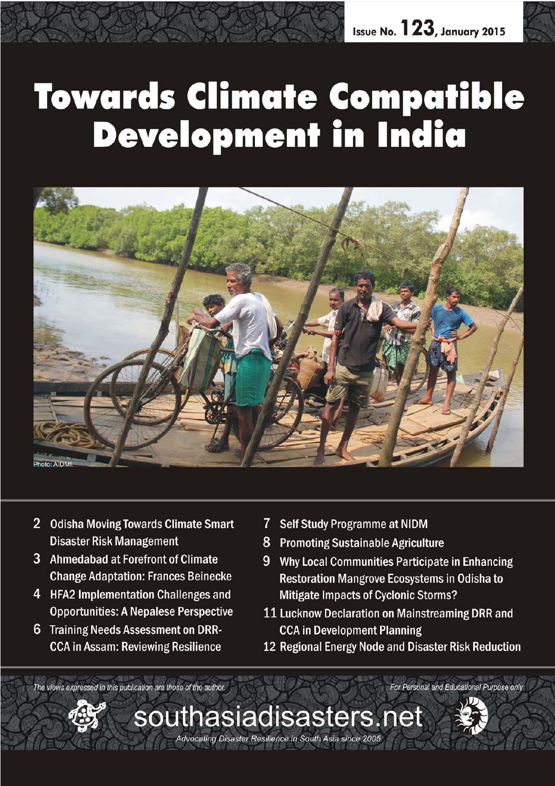# **Towards Climate Compatible<br>Development in India**



*January 2015 southasiadisasters.net 1*

Advocating Disaster Resilience in South Asia since 2005

- 2 Odisha Moving Towards Climate Smart **Disaster Risk Management**
- 3 Ahmedabad at Forefront of Climate **Change Adaptation: Frances Beinecke**
- 4 HFA2 Implementation Challenges and **Opportunities: A Nepalese Perspective**
- 6 Training Needs Assessment on DRR-**CCA in Assam: Reviewing Resilience**
- $\overline{\mathcal{L}}$ **Self Study Programme at NIDM**
- **Promoting Sustainable Agriculture** 8
- 9 Why Local Communities Participate in Enhancing **Restoration Mangrove Ecosystems in Odisha to Mitigate Impacts of Cyclonic Storms?**
- 11 Lucknow Declaration on Mainstreaming DRR and **CCA in Development Planning**
- 12 Regional Energy Node and Disaster Risk Reduction

For Personal and Educational Purpose only

The views expressed in this publication are those of the author.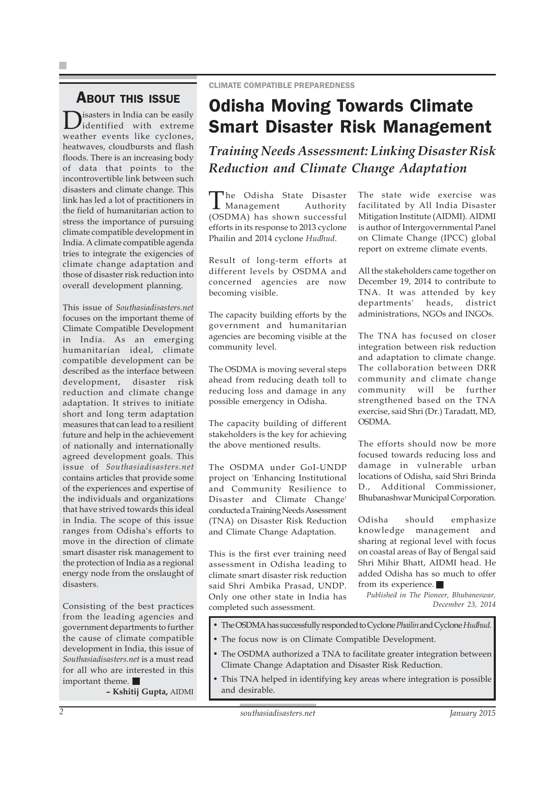### ABOUT THIS ISSUE

**D**isasters in India can be easily identified with extreme weather events like cyclones, heatwaves, cloudbursts and flash floods. There is an increasing body of data that points to the incontrovertible link between such disasters and climate change. This link has led a lot of practitioners in the field of humanitarian action to stress the importance of pursuing climate compatible development in India. A climate compatible agenda tries to integrate the exigencies of climate change adaptation and those of disaster risk reduction into overall development planning.

This issue of *Southasiadisasters.net* focuses on the important theme of Climate Compatible Development in India. As an emerging humanitarian ideal, climate compatible development can be described as the interface between development, disaster risk reduction and climate change adaptation. It strives to initiate short and long term adaptation measures that can lead to a resilient future and help in the achievement of nationally and internationally agreed development goals. This issue of *Southasiadisasters.net* contains articles that provide some of the experiences and expertise of the individuals and organizations that have strived towards this ideal in India. The scope of this issue ranges from Odisha's efforts to move in the direction of climate smart disaster risk management to the protection of India as a regional energy node from the onslaught of disasters.

Consisting of the best practices from the leading agencies and government departments to further the cause of climate compatible development in India, this issue of *Southasiadisasters.net* is a must read for all who are interested in this important theme.

**– Kshitij Gupta,** AIDMI

# Odisha Moving Towards Climate Smart Disaster Risk Management

*Training Needs Assessment: Linking Disaster Risk Reduction and Climate Change Adaptation*

The Odisha State Disaster Management Authority (OSDMA) has shown successful efforts in its response to 2013 cyclone Phailin and 2014 cyclone *Hudhud*.

Result of long-term efforts at different levels by OSDMA and concerned agencies are now becoming visible.

The capacity building efforts by the government and humanitarian agencies are becoming visible at the community level.

The OSDMA is moving several steps ahead from reducing death toll to reducing loss and damage in any possible emergency in Odisha.

The capacity building of different stakeholders is the key for achieving the above mentioned results.

The OSDMA under GoI-UNDP project on 'Enhancing Institutional and Community Resilience to Disaster and Climate Change' conducted a Training Needs Assessment (TNA) on Disaster Risk Reduction and Climate Change Adaptation.

This is the first ever training need assessment in Odisha leading to climate smart disaster risk reduction said Shri Ambika Prasad, UNDP. Only one other state in India has completed such assessment.

The state wide exercise was facilitated by All India Disaster Mitigation Institute (AIDMI). AIDMI is author of Intergovernmental Panel on Climate Change (IPCC) global report on extreme climate events.

All the stakeholders came together on December 19, 2014 to contribute to TNA. It was attended by key departments' heads, district administrations, NGOs and INGOs.

The TNA has focused on closer integration between risk reduction and adaptation to climate change. The collaboration between DRR community and climate change community will be further strengthened based on the TNA exercise, said Shri (Dr.) Taradatt, MD, OSDMA.

The efforts should now be more focused towards reducing loss and damage in vulnerable urban locations of Odisha, said Shri Brinda D., Additional Commissioner, Bhubanashwar Municipal Corporation.

Odisha should emphasize knowledge management and sharing at regional level with focus on coastal areas of Bay of Bengal said Shri Mihir Bhatt, AIDMI head. He added Odisha has so much to offer from its experience.

*Published in The Pioneer, Bhubaneswar, December 23, 2014*

- The OSDMA has successfully responded to Cyclone *Phailin* and Cyclone *Hudhud*.
- The focus now is on Climate Compatible Development.
- The OSDMA authorized a TNA to facilitate greater integration between Climate Change Adaptation and Disaster Risk Reduction.
- This TNA helped in identifying key areas where integration is possible and desirable.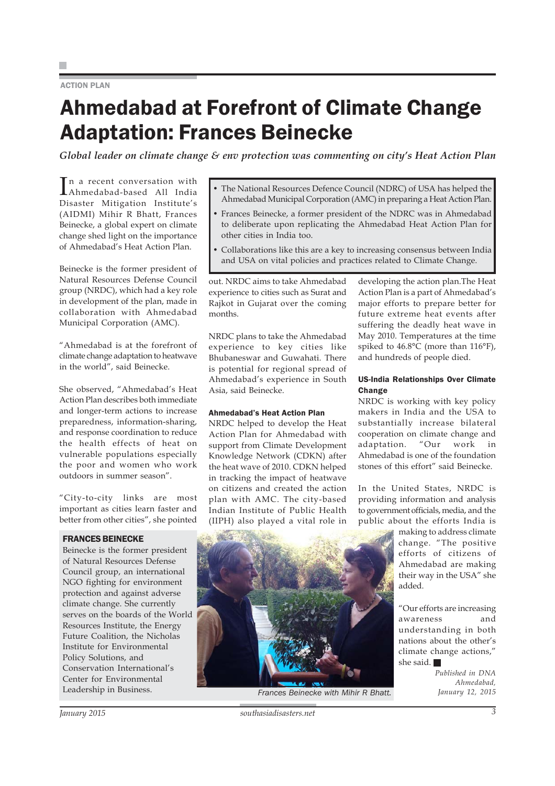### **ACTION PLAN**

# Ahmedabad at Forefront of Climate Change Adaptation: Frances Beinecke

*Global leader on climate change & env protection was commenting on city's Heat Action Plan*

In a recent conversation with<br>Ahmedabad-based All India Ahmedabad-based All India Disaster Mitigation Institute's (AIDMI) Mihir R Bhatt, Frances Beinecke, a global expert on climate change shed light on the importance of Ahmedabad's Heat Action Plan.

Beinecke is the former president of Natural Resources Defense Council group (NRDC), which had a key role in development of the plan, made in collaboration with Ahmedabad Municipal Corporation (AMC).

"Ahmedabad is at the forefront of climate change adaptation to heatwave in the world", said Beinecke.

She observed, "Ahmedabad's Heat Action Plan describes both immediate and longer-term actions to increase preparedness, information-sharing, and response coordination to reduce the health effects of heat on vulnerable populations especially the poor and women who work outdoors in summer season".

"City-to-city links are most important as cities learn faster and better from other cities", she pointed

### FRANCES BEINECKE

Beinecke is the former president of Natural Resources Defense Council group, an international NGO fighting for environment protection and against adverse climate change. She currently serves on the boards of the World Resources Institute, the Energy Future Coalition, the Nicholas Institute for Environmental Policy Solutions, and Conservation International's Center for Environmental Leadership in Business.

- The National Resources Defence Council (NDRC) of USA has helped the Ahmedabad Municipal Corporation (AMC) in preparing a Heat Action Plan.
- Frances Beinecke, a former president of the NDRC was in Ahmedabad to deliberate upon replicating the Ahmedabad Heat Action Plan for other cities in India too.
- Collaborations like this are a key to increasing consensus between India and USA on vital policies and practices related to Climate Change.

out. NRDC aims to take Ahmedabad experience to cities such as Surat and Rajkot in Gujarat over the coming months.

NRDC plans to take the Ahmedabad experience to key cities like Bhubaneswar and Guwahati. There is potential for regional spread of Ahmedabad's experience in South Asia, said Beinecke.

### Ahmedabad's Heat Action Plan

NRDC helped to develop the Heat Action Plan for Ahmedabad with support from Climate Development Knowledge Network (CDKN) after the heat wave of 2010. CDKN helped in tracking the impact of heatwave on citizens and created the action plan with AMC. The city-based Indian Institute of Public Health (IIPH) also played a vital role in

developing the action plan.The Heat Action Plan is a part of Ahmedabad's major efforts to prepare better for future extreme heat events after suffering the deadly heat wave in May 2010. Temperatures at the time spiked to 46.8°C (more than 116°F), and hundreds of people died.

### US-India Relationships Over Climate Change

NRDC is working with key policy makers in India and the USA to substantially increase bilateral cooperation on climate change and adaptation. "Our work in Ahmedabad is one of the foundation stones of this effort" said Beinecke.

In the United States, NRDC is providing information and analysis to government officials, media, and the public about the efforts India is

> making to address climate change. "The positive efforts of citizens of Ahmedabad are making their way in the USA" she added.

"Our efforts are increasing awareness and understanding in both nations about the other's climate change actions," she said.

> *Published in DNA Ahmedabad, January 12, 2015*

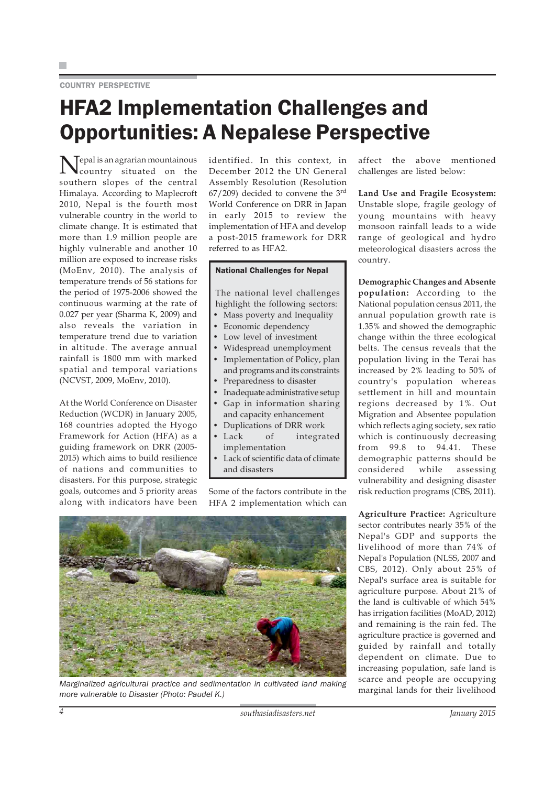### COUNTRY PERSPECTIVE

# HFA2 Implementation Challenges and Opportunities: A Nepalese Perspective

Nepal is an agrarian mountainous country situated on the southern slopes of the central Himalaya. According to Maplecroft 2010, Nepal is the fourth most vulnerable country in the world to climate change. It is estimated that more than 1.9 million people are highly vulnerable and another 10 million are exposed to increase risks (MoEnv, 2010). The analysis of temperature trends of 56 stations for the period of 1975-2006 showed the continuous warming at the rate of 0.027 per year (Sharma K, 2009) and also reveals the variation in temperature trend due to variation in altitude. The average annual rainfall is 1800 mm with marked spatial and temporal variations (NCVST, 2009, MoEnv, 2010).

At the World Conference on Disaster Reduction (WCDR) in January 2005, 168 countries adopted the Hyogo Framework for Action (HFA) as a guiding framework on DRR (2005- 2015) which aims to build resilience of nations and communities to disasters. For this purpose, strategic goals, outcomes and 5 priority areas along with indicators have been

identified. In this context, in December 2012 the UN General Assembly Resolution (Resolution  $67/209$ ) decided to convene the  $3<sup>rd</sup>$ World Conference on DRR in Japan in early 2015 to review the implementation of HFA and develop a post-2015 framework for DRR referred to as HFA2.

### National Challenges for Nepal

The national level challenges highlight the following sectors:

- Mass poverty and Inequality
- Economic dependency
- Low level of investment
- Widespread unemployment
- Implementation of Policy, plan and programs and its constraints Preparedness to disaster
- Inadequate administrative setup
- Gap in information sharing and capacity enhancement
- Duplications of DRR work
- Lack of integrated implementation
- Lack of scientific data of climate and disasters

Some of the factors contribute in the HFA 2 implementation which can



Marginalized agricultural practice and sedimentation in cultivated land making<br>marginal lands for their livelihood *more vulnerable to Disaster (Photo: Paudel K.)*

affect the above mentioned challenges are listed below:

**Land Use and Fragile Ecosystem:** Unstable slope, fragile geology of young mountains with heavy monsoon rainfall leads to a wide range of geological and hydro meteorological disasters across the country.

**Demographic Changes and Absente population:** According to the National population census 2011, the annual population growth rate is 1.35% and showed the demographic change within the three ecological belts. The census reveals that the population living in the Terai has increased by 2% leading to 50% of country's population whereas settlement in hill and mountain regions decreased by 1%. Out Migration and Absentee population which reflects aging society, sex ratio which is continuously decreasing from 99.8 to 94.41. These demographic patterns should be considered while assessing vulnerability and designing disaster risk reduction programs (CBS, 2011).

**Agriculture Practice:** Agriculture sector contributes nearly 35% of the Nepal's GDP and supports the livelihood of more than 74% of Nepal's Population (NLSS, 2007 and CBS, 2012). Only about 25% of Nepal's surface area is suitable for agriculture purpose. About 21% of the land is cultivable of which 54% has irrigation facilities (MoAD, 2012) and remaining is the rain fed. The agriculture practice is governed and guided by rainfall and totally dependent on climate. Due to increasing population, safe land is scarce and people are occupying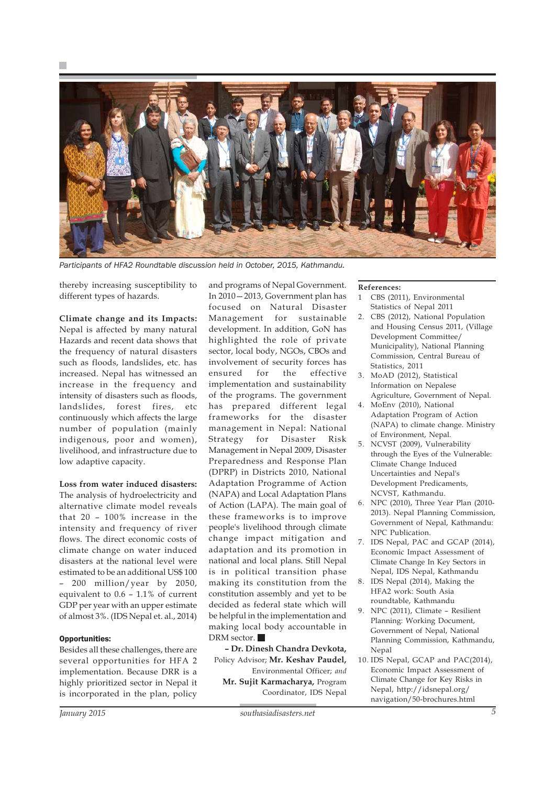

*Participants of HFA2 Roundtable discussion held in October, 2015, Kathmandu.*

thereby increasing susceptibility to different types of hazards.

### **Climate change and its Impacts:**

Nepal is affected by many natural Hazards and recent data shows that the frequency of natural disasters such as floods, landslides, etc. has increased. Nepal has witnessed an increase in the frequency and intensity of disasters such as floods, landslides, forest fires, etc continuously which affects the large number of population (mainly indigenous, poor and women), livelihood, and infrastructure due to low adaptive capacity.

### **Loss from water induced disasters:**

The analysis of hydroelectricity and alternative climate model reveals that 20 – 100% increase in the intensity and frequency of river flows. The direct economic costs of climate change on water induced disasters at the national level were estimated to be an additional US\$ 100 – 200 million/year by 2050, equivalent to 0.6 – 1.1% of current GDP per year with an upper estimate of almost 3%. (IDS Nepal et. al., 2014)

### Opportunities:

Besides all these challenges, there are several opportunities for HFA 2 implementation. Because DRR is a highly prioritized sector in Nepal it is incorporated in the plan, policy and programs of Nepal Government. In 2010—2013, Government plan has focused on Natural Disaster Management for sustainable development. In addition, GoN has highlighted the role of private sector, local body, NGOs, CBOs and involvement of security forces has ensured for the effective implementation and sustainability of the programs. The government has prepared different legal frameworks for the disaster management in Nepal: National Strategy for Disaster Risk Management in Nepal 2009, Disaster Preparedness and Response Plan (DPRP) in Districts 2010, National Adaptation Programme of Action (NAPA) and Local Adaptation Plans of Action (LAPA). The main goal of these frameworks is to improve people's livelihood through climate change impact mitigation and adaptation and its promotion in national and local plans. Still Nepal is in political transition phase making its constitution from the constitution assembly and yet to be decided as federal state which will be helpful in the implementation and making local body accountable in DRM sector.

**– Dr. Dinesh Chandra Devkota,** Policy Advisor; **Mr. Keshav Paudel,** Environmental Officer; *and* **Mr. Sujit Karmacharya,** Program Coordinator, IDS Nepal

### **References:**

- 1 CBS (2011), Environmental Statistics of Nepal 2011
- 2. CBS (2012), National Population and Housing Census 2011, (Village Development Committee/ Municipality), National Planning Commission, Central Bureau of Statistics, 2011
- 3. MoAD (2012), Statistical Information on Nepalese Agriculture, Government of Nepal.
- 4. MoEnv (2010), National Adaptation Program of Action (NAPA) to climate change. Ministry of Environment, Nepal.
- 5. NCVST (2009), Vulnerability through the Eyes of the Vulnerable: Climate Change Induced Uncertainties and Nepal's Development Predicaments, NCVST, Kathmandu.
- 6. NPC (2010), Three Year Plan (2010- 2013). Nepal Planning Commission, Government of Nepal, Kathmandu: NPC Publication.
- 7. IDS Nepal, PAC and GCAP (2014), Economic Impact Assessment of Climate Change In Key Sectors in Nepal, IDS Nepal, Kathmandu
- 8. IDS Nepal (2014), Making the HFA2 work: South Asia roundtable, Kathmandu
- 9. NPC (2011), Climate Resilient Planning: Working Document, Government of Nepal, National Planning Commission, Kathmandu, Nepal
- 10. IDS Nepal, GCAP and PAC(2014), Economic Impact Assessment of Climate Change for Key Risks in Nepal, http://idsnepal.org/ navigation/50-brochures.html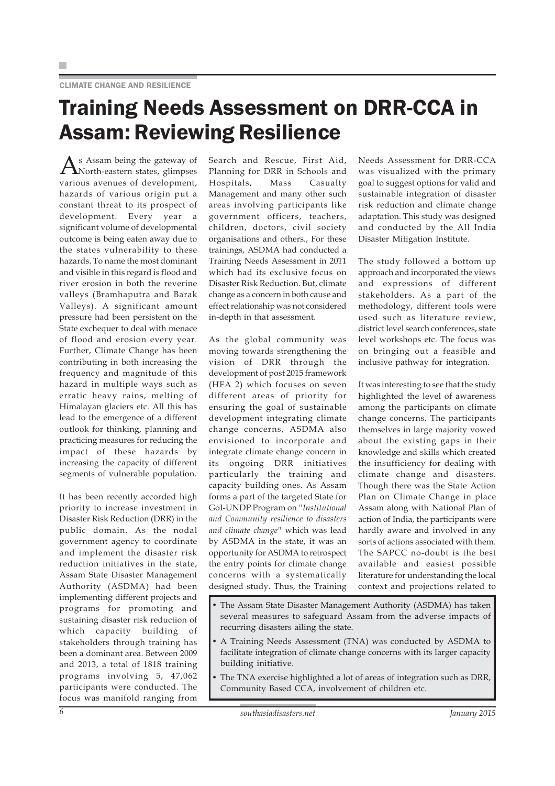### CLIMATE CHANGE AND RESILIENCE

# Training Needs Assessment on DRR-CCA in Assam: Reviewing Resilience

As Assam being the gateway of North-eastern states, glimpses various avenues of development, hazards of various origin put a constant threat to its prospect of development. Every year a significant volume of developmental outcome is being eaten away due to the states vulnerability to these hazards. To name the most dominant and visible in this regard is flood and river erosion in both the reverine valleys (Bramhaputra and Barak Valleys). A significant amount pressure had been persistent on the State exchequer to deal with menace of flood and erosion every year. Further, Climate Change has been contributing in both increasing the frequency and magnitude of this hazard in multiple ways such as erratic heavy rains, melting of Himalayan glaciers etc. All this has lead to the emergence of a different outlook for thinking, planning and practicing measures for reducing the impact of these hazards by increasing the capacity of different segments of vulnerable population.

It has been recently accorded high priority to increase investment in Disaster Risk Reduction (DRR) in the public domain. As the nodal government agency to coordinate and implement the disaster risk reduction initiatives in the state, Assam State Disaster Management Authority (ASDMA) had been implementing different projects and programs for promoting and sustaining disaster risk reduction of which capacity building of stakeholders through training has been a dominant area. Between 2009 and 2013, a total of 1818 training programs involving 5, 47,062 participants were conducted. The focus was manifold ranging from Search and Rescue, First Aid, Planning for DRR in Schools and Hospitals, Mass Casualty Management and many other such areas involving participants like government officers, teachers, children, doctors, civil society organisations and others., For these trainings, ASDMA had conducted a Training Needs Assessment in 2011 which had its exclusive focus on Disaster Risk Reduction. But, climate change as a concern in both cause and effect relationship was not considered in-depth in that assessment.

As the global community was moving towards strengthening the vision of DRR through the development of post 2015 framework (HFA 2) which focuses on seven different areas of priority for ensuring the goal of sustainable development integrating climate change concerns, ASDMA also envisioned to incorporate and integrate climate change concern in its ongoing DRR initiatives particularly the training and capacity building ones. As Assam forms a part of the targeted State for GoI-UNDP Program on *"Institutional and Community resilience to disasters and climate change"* which was lead by ASDMA in the state, it was an opportunity for ASDMA to retrospect the entry points for climate change concerns with a systematically designed study. Thus, the Training

Needs Assessment for DRR-CCA was visualized with the primary goal to suggest options for valid and sustainable integration of disaster risk reduction and climate change adaptation. This study was designed and conducted by the All India Disaster Mitigation Institute.

The study followed a bottom up approach and incorporated the views and expressions of different stakeholders. As a part of the methodology, different tools were used such as literature review, district level search conferences, state level workshops etc. The focus was on bringing out a feasible and inclusive pathway for integration.

It was interesting to see that the study highlighted the level of awareness among the participants on climate change concerns. The participants themselves in large majority vowed about the existing gaps in their knowledge and skills which created the insufficiency for dealing with climate change and disasters. Though there was the State Action Plan on Climate Change in place Assam along with National Plan of action of India, the participants were hardly aware and involved in any sorts of actions associated with them. The SAPCC no-doubt is the best available and easiest possible literature for understanding the local context and projections related to

- The Assam State Disaster Management Authority (ASDMA) has taken several measures to safeguard Assam from the adverse impacts of recurring disasters ailing the state.
- A Training Needs Assessment (TNA) was conducted by ASDMA to facilitate integration of climate change concerns with its larger capacity building initiative.
- The TNA exercise highlighted a lot of areas of integration such as DRR, Community Based CCA, involvement of children etc.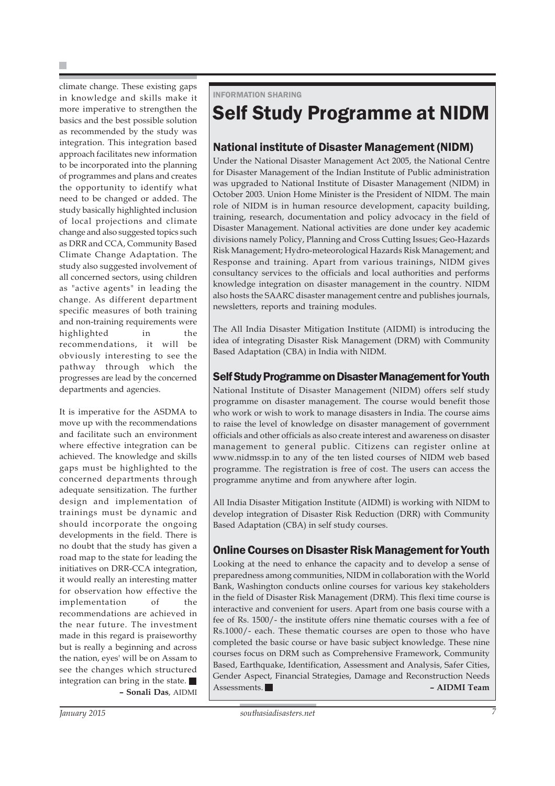climate change. These existing gaps in knowledge and skills make it more imperative to strengthen the basics and the best possible solution as recommended by the study was integration. This integration based approach facilitates new information to be incorporated into the planning of programmes and plans and creates the opportunity to identify what need to be changed or added. The study basically highlighted inclusion of local projections and climate change and also suggested topics such as DRR and CCA, Community Based Climate Change Adaptation. The study also suggested involvement of all concerned sectors, using children as "active agents" in leading the change. As different department specific measures of both training and non-training requirements were highlighted in the recommendations, it will be obviously interesting to see the pathway through which the progresses are lead by the concerned departments and agencies.

It is imperative for the ASDMA to move up with the recommendations and facilitate such an environment where effective integration can be achieved. The knowledge and skills gaps must be highlighted to the concerned departments through adequate sensitization. The further design and implementation of trainings must be dynamic and should incorporate the ongoing developments in the field. There is no doubt that the study has given a road map to the state for leading the initiatives on DRR-CCA integration, it would really an interesting matter for observation how effective the implementation of the recommendations are achieved in the near future. The investment made in this regard is praiseworthy but is really a beginning and across the nation, eyes' will be on Assam to see the changes which structured integration can bring in the state. **– Sonali Das**, AIDMI INFORMATION SHARING

# Self Study Programme at NIDM

### National institute of Disaster Management (NIDM)

Under the National Disaster Management Act 2005, the National Centre for Disaster Management of the Indian Institute of Public administration was upgraded to National Institute of Disaster Management (NIDM) in October 2003. Union Home Minister is the President of NIDM. The main role of NIDM is in human resource development, capacity building, training, research, documentation and policy advocacy in the field of Disaster Management. National activities are done under key academic divisions namely Policy, Planning and Cross Cutting Issues; Geo-Hazards Risk Management; Hydro-meteorological Hazards Risk Management; and Response and training. Apart from various trainings, NIDM gives consultancy services to the officials and local authorities and performs knowledge integration on disaster management in the country. NIDM also hosts the SAARC disaster management centre and publishes journals, newsletters, reports and training modules.

The All India Disaster Mitigation Institute (AIDMI) is introducing the idea of integrating Disaster Risk Management (DRM) with Community Based Adaptation (CBA) in India with NIDM.

### Self Study Programme on Disaster Management for Youth

National Institute of Disaster Management (NIDM) offers self study programme on disaster management. The course would benefit those who work or wish to work to manage disasters in India. The course aims to raise the level of knowledge on disaster management of government officials and other officials as also create interest and awareness on disaster management to general public. Citizens can register online at www.nidmssp.in to any of the ten listed courses of NIDM web based programme. The registration is free of cost. The users can access the programme anytime and from anywhere after login.

All India Disaster Mitigation Institute (AIDMI) is working with NIDM to develop integration of Disaster Risk Reduction (DRR) with Community Based Adaptation (CBA) in self study courses.

### Online Courses on Disaster Risk Management for Youth

Looking at the need to enhance the capacity and to develop a sense of preparedness among communities, NIDM in collaboration with the World Bank, Washington conducts online courses for various key stakeholders in the field of Disaster Risk Management (DRM). This flexi time course is interactive and convenient for users. Apart from one basis course with a fee of Rs. 1500/- the institute offers nine thematic courses with a fee of Rs.1000/- each. These thematic courses are open to those who have completed the basic course or have basic subject knowledge. These nine courses focus on DRM such as Comprehensive Framework, Community Based, Earthquake, Identification, Assessment and Analysis, Safer Cities, Gender Aspect, Financial Strategies, Damage and Reconstruction Needs Assessments. **– AIDMI Team**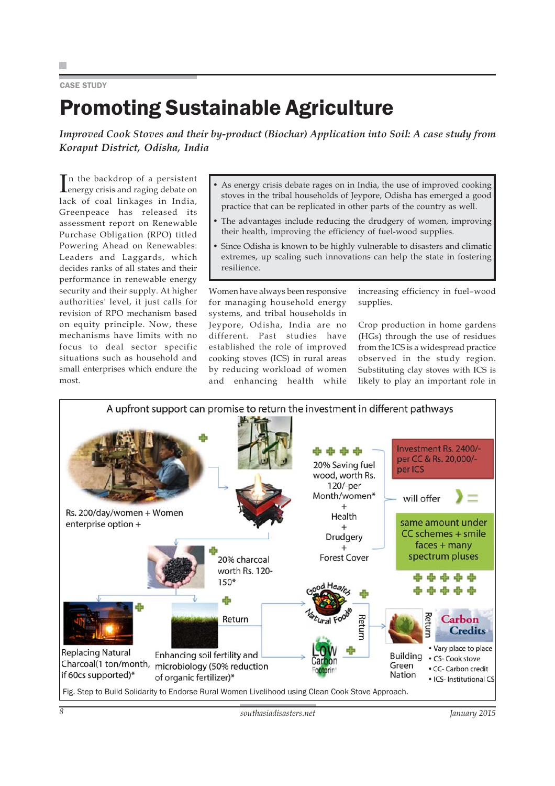### CASE STUDY

# Promoting Sustainable Agriculture

*Improved Cook Stoves and their by-product (Biochar) Application into Soil: A case study from Koraput District, Odisha, India*

In the backdrop of a persistent<br>energy crisis and raging debate on n the backdrop of a persistent lack of coal linkages in India, Greenpeace has released its assessment report on Renewable Purchase Obligation (RPO) titled Powering Ahead on Renewables: Leaders and Laggards, which decides ranks of all states and their performance in renewable energy security and their supply. At higher authorities' level, it just calls for revision of RPO mechanism based on equity principle. Now, these mechanisms have limits with no focus to deal sector specific situations such as household and small enterprises which endure the most.

- As energy crisis debate rages on in India, the use of improved cooking stoves in the tribal households of Jeypore, Odisha has emerged a good practice that can be replicated in other parts of the country as well.
- The advantages include reducing the drudgery of women, improving their health, improving the efficiency of fuel-wood supplies.
- Since Odisha is known to be highly vulnerable to disasters and climatic extremes, up scaling such innovations can help the state in fostering resilience.

Women have always been responsive for managing household energy systems, and tribal households in Jeypore, Odisha, India are no different. Past studies have established the role of improved cooking stoves (ICS) in rural areas by reducing workload of women and enhancing health while increasing efficiency in fuel–wood supplies.

Crop production in home gardens (HGs) through the use of residues from the ICS is a widespread practice observed in the study region. Substituting clay stoves with ICS is likely to play an important role in

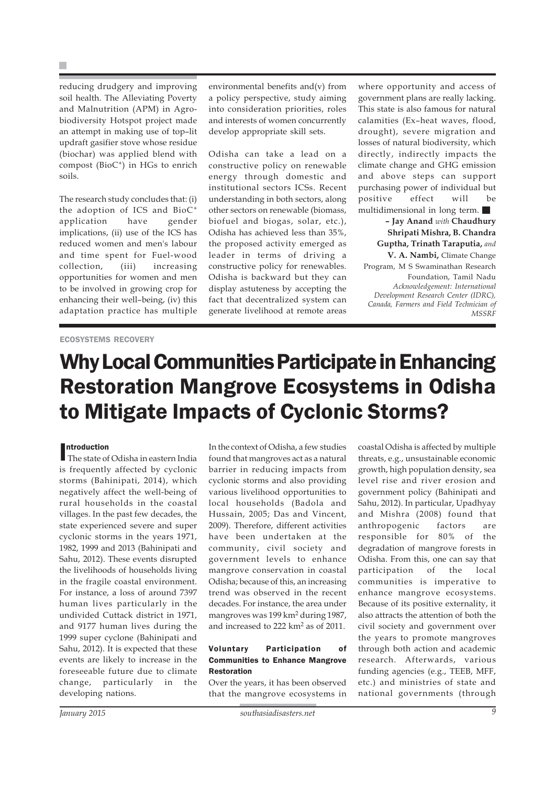reducing drudgery and improving soil health. The Alleviating Poverty and Malnutrition (APM) in Agrobiodiversity Hotspot project made an attempt in making use of top–lit updraft gasifier stove whose residue (biochar) was applied blend with compost (BioC<sup>+</sup>) in HGs to enrich soils.

The research study concludes that: (i) the adoption of ICS and BioC<sup>+</sup> application have gender implications, (ii) use of the ICS has reduced women and men's labour and time spent for Fuel-wood collection, (iii) increasing opportunities for women and men to be involved in growing crop for enhancing their well–being, (iv) this adaptation practice has multiple

environmental benefits and(v) from a policy perspective, study aiming into consideration priorities, roles and interests of women concurrently develop appropriate skill sets.

Odisha can take a lead on a constructive policy on renewable energy through domestic and institutional sectors ICSs. Recent understanding in both sectors, along other sectors on renewable (biomass, biofuel and biogas, solar, etc.), Odisha has achieved less than 35%, the proposed activity emerged as leader in terms of driving a constructive policy for renewables. Odisha is backward but they can display astuteness by accepting the fact that decentralized system can generate livelihood at remote areas

where opportunity and access of government plans are really lacking. This state is also famous for natural calamities (Ex–heat waves, flood, drought), severe migration and losses of natural biodiversity, which directly, indirectly impacts the climate change and GHG emission and above steps can support purchasing power of individual but positive effect will be multidimensional in long term. **– Jay Anand** *with* **Chaudhury Shripati Mishra, B. Chandra Guptha, Trinath Taraputia,** *and* **V. A. Nambi,** Climate Change Program, M S Swaminathan Research

Foundation, Tamil Nadu *Acknowledgement: International Development Research Center (IDRC), Canada, Farmers and Field Technician of MSSRF*

### ECOSYSTEMS RECOVERY

# Why Local Communities Participate in Enhancing Restoration Mangrove Ecosystems in Odisha to Mitigate Impacts of Cyclonic Storms?

**Introduction**<br>The state of The state of Odisha in eastern India is frequently affected by cyclonic storms (Bahinipati, 2014), which negatively affect the well-being of rural households in the coastal villages. In the past few decades, the state experienced severe and super cyclonic storms in the years 1971, 1982, 1999 and 2013 (Bahinipati and Sahu, 2012). These events disrupted the livelihoods of households living in the fragile coastal environment. For instance, a loss of around 7397 human lives particularly in the undivided Cuttack district in 1971, and 9177 human lives during the 1999 super cyclone (Bahinipati and Sahu, 2012). It is expected that these events are likely to increase in the foreseeable future due to climate change, particularly in the developing nations.

In the context of Odisha, a few studies found that mangroves act as a natural barrier in reducing impacts from cyclonic storms and also providing various livelihood opportunities to local households (Badola and Hussain, 2005; Das and Vincent, 2009). Therefore, different activities have been undertaken at the community, civil society and government levels to enhance mangrove conservation in coastal Odisha; because of this, an increasing trend was observed in the recent decades. For instance, the area under mangroves was 199 km<sup>2</sup> during 1987, and increased to 222 km<sup>2</sup> as of 2011.

### Voluntary Participation of Communities to Enhance Mangrove Restoration

Over the years, it has been observed that the mangrove ecosystems in coastal Odisha is affected by multiple threats, e.g., unsustainable economic growth, high population density, sea level rise and river erosion and government policy (Bahinipati and Sahu, 2012). In particular, Upadhyay and Mishra (2008) found that anthropogenic factors are responsible for 80% of the degradation of mangrove forests in Odisha. From this, one can say that participation of the local communities is imperative to enhance mangrove ecosystems. Because of its positive externality, it also attracts the attention of both the civil society and government over the years to promote mangroves through both action and academic research. Afterwards, various funding agencies (e.g., TEEB, MFF, etc.) and ministries of state and national governments (through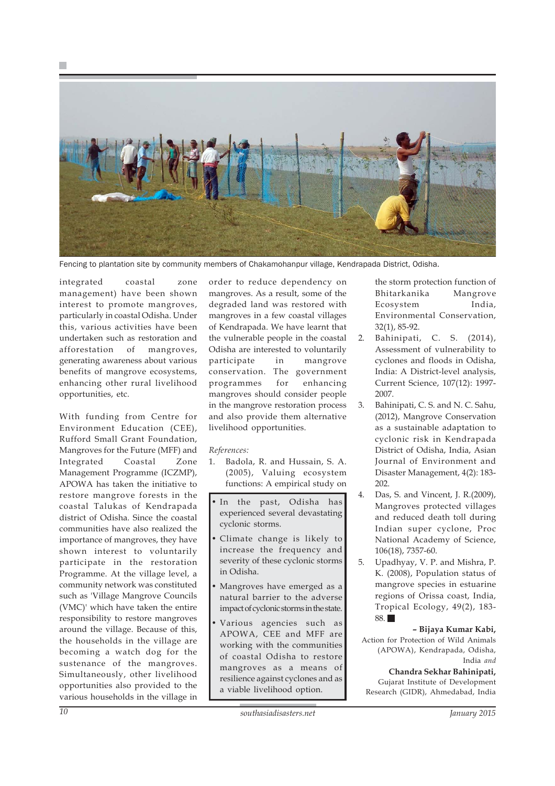



Fencing to plantation site by community members of Chakamohanpur village, Kendrapada District, Odisha.

integrated coastal zone management) have been shown interest to promote mangroves, particularly in coastal Odisha. Under this, various activities have been undertaken such as restoration and afforestation of mangroves, generating awareness about various benefits of mangrove ecosystems, enhancing other rural livelihood opportunities, etc.

With funding from Centre for Environment Education (CEE), Rufford Small Grant Foundation, Mangroves for the Future (MFF) and Integrated Coastal Zone Management Programme (ICZMP), APOWA has taken the initiative to restore mangrove forests in the coastal Talukas of Kendrapada district of Odisha. Since the coastal communities have also realized the importance of mangroves, they have shown interest to voluntarily participate in the restoration Programme. At the village level, a community network was constituted such as 'Village Mangrove Councils (VMC)' which have taken the entire responsibility to restore mangroves around the village. Because of this, the households in the village are becoming a watch dog for the sustenance of the mangroves. Simultaneously, other livelihood opportunities also provided to the various households in the village in

order to reduce dependency on mangroves. As a result, some of the degraded land was restored with mangroves in a few coastal villages of Kendrapada. We have learnt that the vulnerable people in the coastal Odisha are interested to voluntarily participate in mangrove conservation. The government programmes for enhancing mangroves should consider people in the mangrove restoration process and also provide them alternative livelihood opportunities.

### *References:*

- 1. Badola, R. and Hussain, S. A. (2005), Valuing ecosystem functions: A empirical study on
- In the past, Odisha has experienced several devastating cyclonic storms.
- Climate change is likely to increase the frequency and severity of these cyclonic storms in Odisha.
- Mangroves have emerged as a natural barrier to the adverse impact of cyclonic storms in the state.
- Various agencies such as APOWA, CEE and MFF are working with the communities of coastal Odisha to restore mangroves as a means of resilience against cyclones and as a viable livelihood option.

the storm protection function of Bhitarkanika Mangrove Ecosystem India, Environmental Conservation, 32(1), 85-92.

- 2. Bahinipati, C. S. (2014), Assessment of vulnerability to cyclones and floods in Odisha, India: A District-level analysis, Current Science, 107(12): 1997- 2007.
- 3. Bahinipati, C. S. and N. C. Sahu, (2012), Mangrove Conservation as a sustainable adaptation to cyclonic risk in Kendrapada District of Odisha, India, Asian Journal of Environment and Disaster Management, 4(2): 183- 202.
- 4. Das, S. and Vincent, J. R.(2009), Mangroves protected villages and reduced death toll during Indian super cyclone, Proc National Academy of Science, 106(18), 7357-60.
- 5. Upadhyay, V. P. and Mishra, P. K. (2008), Population status of mangrove species in estuarine regions of Orissa coast, India, Tropical Ecology, 49(2), 183- 88.

**– Bijaya Kumar Kabi,** Action for Protection of Wild Animals

(APOWA), Kendrapada, Odisha, India *and*

**Chandra Sekhar Bahinipati,** Gujarat Institute of Development Research (GIDR), Ahmedabad, India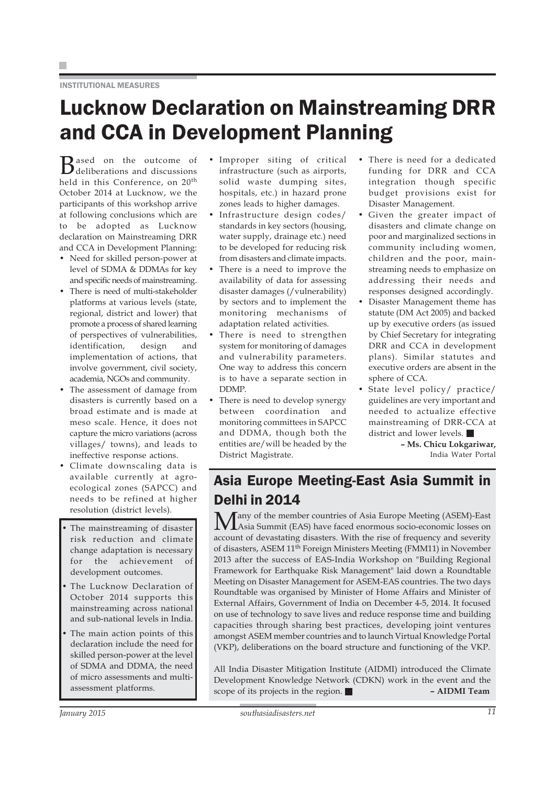### INSTITUTIONAL MEASURES

# Lucknow Declaration on Mainstreaming DRR and CCA in Development Planning

Based on the outcome of<br>deliberations and discussions held in this Conference, on 20<sup>th</sup> October 2014 at Lucknow, we the participants of this workshop arrive at following conclusions which are to be adopted as Lucknow declaration on Mainstreaming DRR and CCA in Development Planning:

- Need for skilled person-power at level of SDMA & DDMAs for key and specific needs of mainstreaming.
- There is need of multi-stakeholder platforms at various levels (state, regional, district and lower) that promote a process of shared learning of perspectives of vulnerabilities, identification, design and implementation of actions, that involve government, civil society, academia, NGOs and community.
- The assessment of damage from disasters is currently based on a broad estimate and is made at meso scale. Hence, it does not capture the micro variations (across villages/ towns), and leads to ineffective response actions.
- Climate downscaling data is available currently at agroecological zones (SAPCC) and needs to be refined at higher resolution (district levels).
- The mainstreaming of disaster risk reduction and climate change adaptation is necessary for the achievement of development outcomes.
- The Lucknow Declaration of October 2014 supports this mainstreaming across national and sub-national levels in India.
- The main action points of this declaration include the need for skilled person-power at the level of SDMA and DDMA, the need of micro assessments and multiassessment platforms.
- Improper siting of critical infrastructure (such as airports, solid waste dumping sites, hospitals, etc.) in hazard prone zones leads to higher damages.
- Infrastructure design codes/ standards in key sectors (housing, water supply, drainage etc.) need to be developed for reducing risk from disasters and climate impacts.
- There is a need to improve the availability of data for assessing disaster damages (/vulnerability) by sectors and to implement the monitoring mechanisms of adaptation related activities.
- There is need to strengthen system for monitoring of damages and vulnerability parameters. One way to address this concern is to have a separate section in DDMP.
- There is need to develop synergy between coordination and monitoring committees in SAPCC and DDMA, though both the entities are/will be headed by the District Magistrate.
- There is need for a dedicated funding for DRR and CCA integration though specific budget provisions exist for Disaster Management.
- Given the greater impact of disasters and climate change on poor and marginalized sections in community including women, children and the poor, mainstreaming needs to emphasize on addressing their needs and responses designed accordingly.
- Disaster Management theme has statute (DM Act 2005) and backed up by executive orders (as issued by Chief Secretary for integrating DRR and CCA in development plans). Similar statutes and executive orders are absent in the sphere of CCA.
- State level policy/ practice/ guidelines are very important and needed to actualize effective mainstreaming of DRR-CCA at district and lower levels.

**– Ms. Chicu Lokgariwar,** India Water Portal

## Asia Europe Meeting-East Asia Summit in Delhi in 2014

Many of the member countries of Asia Europe Meeting (ASEM)-East<br>Asia Summit (EAS) have faced enormous socio-economic losses on account of devastating disasters. With the rise of frequency and severity of disasters, ASEM 11<sup>th</sup> Foreign Ministers Meeting (FMM11) in November 2013 after the success of EAS-India Workshop on "Building Regional Framework for Earthquake Risk Management" laid down a Roundtable Meeting on Disaster Management for ASEM-EAS countries. The two days Roundtable was organised by Minister of Home Affairs and Minister of External Affairs, Government of India on December 4-5, 2014. It focused on use of technology to save lives and reduce response time and building capacities through sharing best practices, developing joint ventures amongst ASEM member countries and to launch Virtual Knowledge Portal (VKP), deliberations on the board structure and functioning of the VKP.

All India Disaster Mitigation Institute (AIDMI) introduced the Climate Development Knowledge Network (CDKN) work in the event and the scope of its projects in the region. **– AIDMI Team**